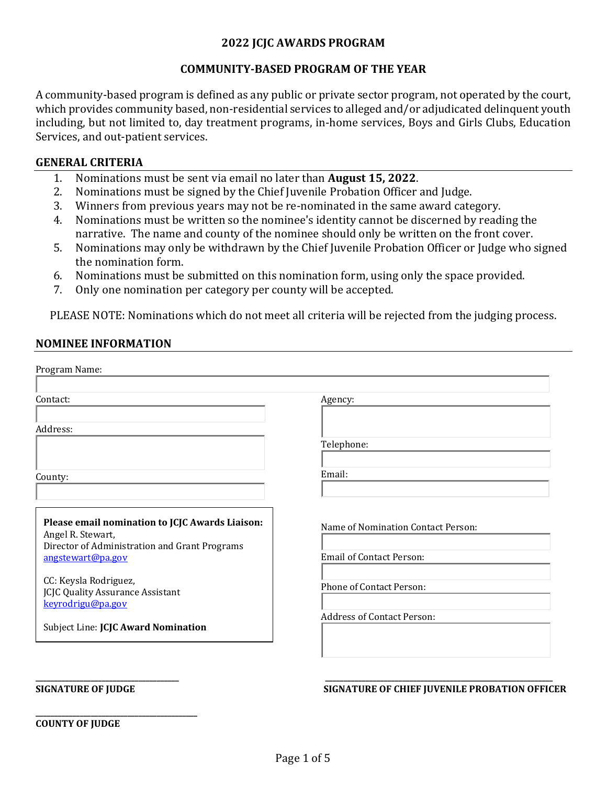# **2022 JCJC AWARDS PROGRAM**

# **COMMUNITY-BASED PROGRAM OF THE YEAR**

A community-based program is defined as any public or private sector program, not operated by the court, which provides community based, non-residential services to alleged and/or adjudicated delinquent youth including, but not limited to, day treatment programs, in-home services, Boys and Girls Clubs, Education Services, and out-patient services.

## **GENERAL CRITERIA**

- 1. Nominations must be sent via email no later than **August 15, 2022**.
- 2. Nominations must be signed by the Chief Juvenile Probation Officer and Judge.<br>3. Winners from previous vears may not be re-nominated in the same award cate
- Winners from previous years may not be re-nominated in the same award category.
- 4. Nominations must be written so the nominee's identity cannot be discerned by reading the narrative. The name and county of the nominee should only be written on the front cover.
- 5. Nominations may only be withdrawn by the Chief Juvenile Probation Officer or Judge who signed the nomination form.
- 6. Nominations must be submitted on this nomination form, using only the space provided.<br>7. Only one nomination per category per county will be accepted.
- 7. Only one nomination per category per county will be accepted.

PLEASE NOTE: Nominations which do not meet all criteria will be rejected from the judging process.

## **NOMINEE INFORMATION**

| Agency:                            |
|------------------------------------|
|                                    |
| Telephone:                         |
| Email:                             |
| Name of Nomination Contact Person: |
| <b>Email of Contact Person:</b>    |
| <b>Phone of Contact Person:</b>    |
| <b>Address of Contact Person:</b>  |
|                                    |

### **SIGNATURE OF JUDGE SIGNATURE OF CHIEF JUVENILE PROBATION OFFICER**

**\_\_\_\_\_\_\_\_\_\_\_\_\_\_\_\_\_\_\_\_\_\_\_\_\_\_\_\_\_\_\_\_\_\_\_\_\_\_\_\_\_\_\_\_ COUNTY OF JUDGE**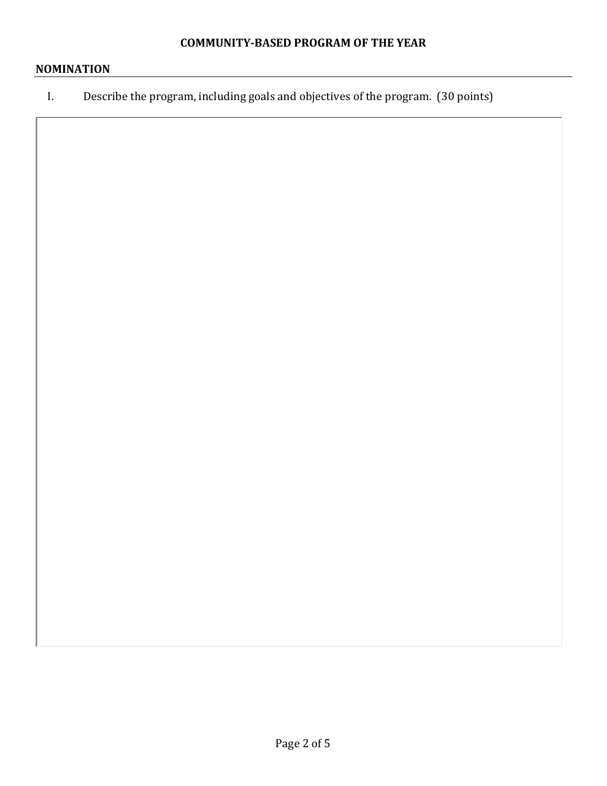# **NOMINATION**

I. Describe the program, including goals and objectives of the program. (30 points)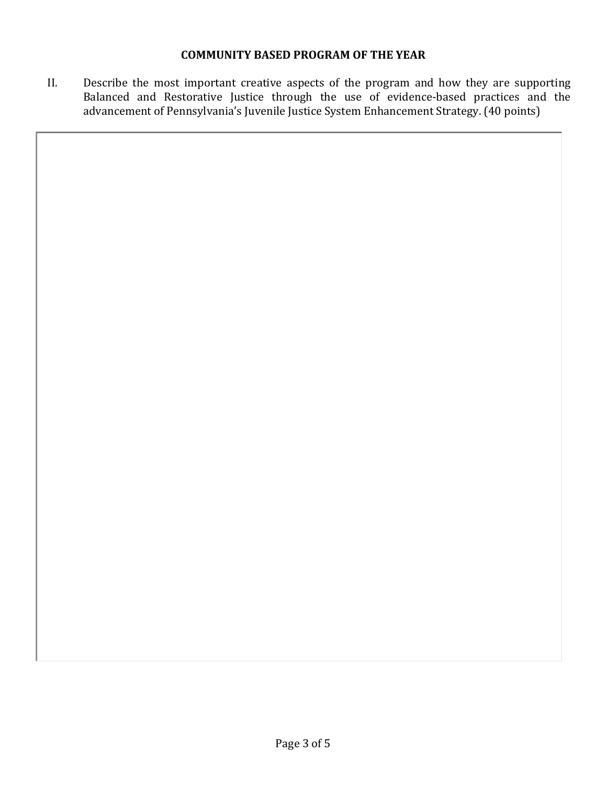# **COMMUNITY BASED PROGRAM OF THE YEAR**

II. Describe the most important creative aspects of the program and how they are supporting Balanced and Restorative Justice through the use of evidence-based practices and the advancement of Pennsylvania's Juvenile Justice System Enhancement Strategy. (40 points)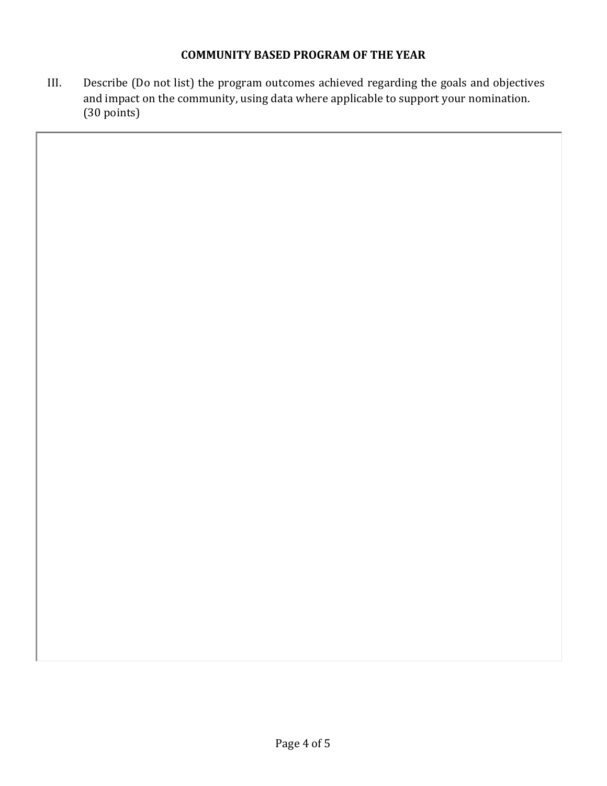# **COMMUNITY BASED PROGRAM OF THE YEAR**

III. Describe (Do not list) the program outcomes achieved regarding the goals and objectives and impact on the community, using data where applicable to support your nomination. (30 points)